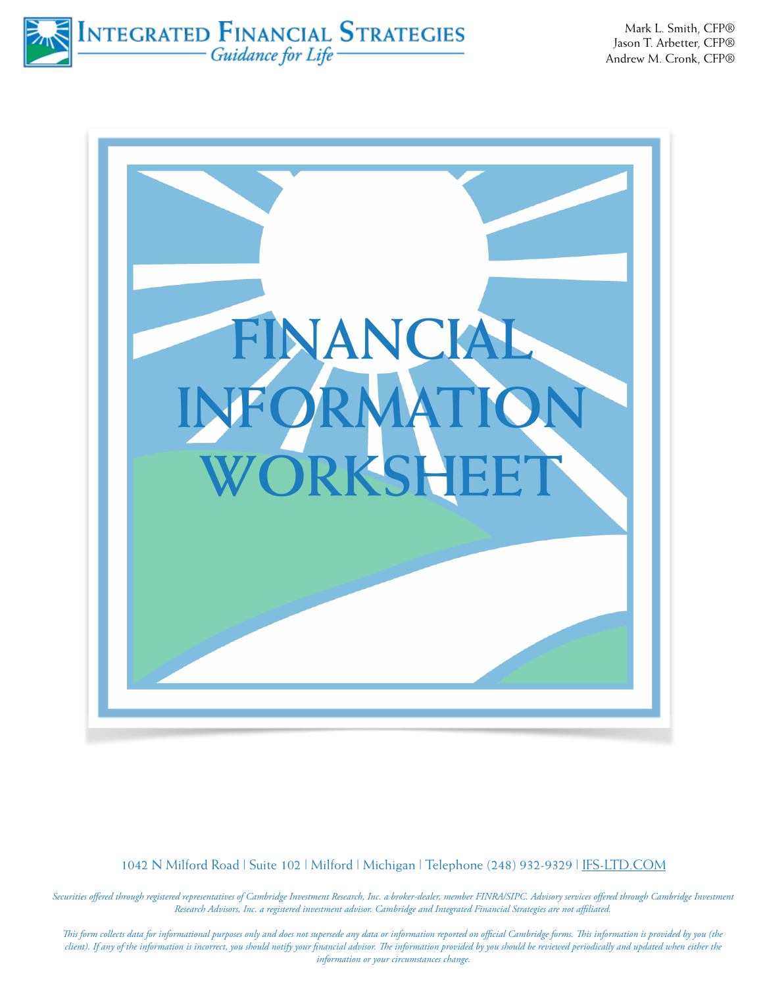INTEGRATED FINANCIAL STRATEGIES

Mark L. Smith, CFP® Jason T. Arbetter, CFP® Andrew M. Cronk, CFP®



1042 N Milford Road | Suite 102 | Milford | Michigan | Telephone (248) 932-9329 | [IFS-LTD.COM](http://IFS-LTD.COM)

*Securities offered through registered representatives of Cambridge Investment Research, Inc. a broker-dealer, member FINRA/SIPC. Advisory services offered through Cambridge Investment Research Advisors, Inc. a registered investment advisor. Cambridge and Integrated Financial Strategies are not affiliated.* 

*Tis form collects data for informational purposes only and does not supersede any data or information reported on official Cambridge forms. Tis information is provided by you (the client). If any of the information is incorrect, you should notify your financial advisor. Te information provided by you should be reviewed periodically and updated when either the information or your circumstances change.*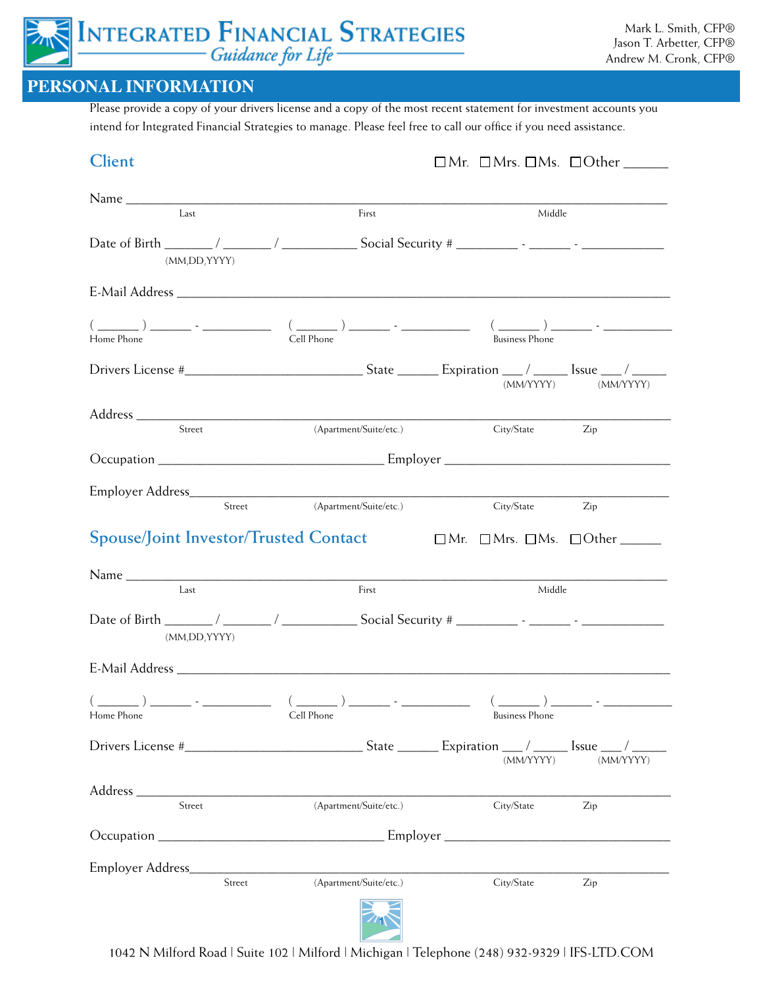# INTEGRATED FINANCIAL STRATEGIES

#### **PERSONAL INFORMATION**

Please provide a copy of your drivers license and a copy of the most recent statement for investment accounts you intend for Integrated Financial Strategies to manage. Please feel free to call our office if you need assistance.

| <b>Client</b>                                |                                                                            |                                                                       |
|----------------------------------------------|----------------------------------------------------------------------------|-----------------------------------------------------------------------|
|                                              |                                                                            |                                                                       |
| Last                                         | First                                                                      | Middle                                                                |
| (MM,DD,YYYY)                                 |                                                                            |                                                                       |
|                                              |                                                                            |                                                                       |
| Home Phone                                   | Cell Phone                                                                 | <b>Business Phone</b>                                                 |
|                                              |                                                                            | $\left(\text{MM/YYYY}\right)\qquad\qquad \left(\text{MM/YYYY}\right)$ |
| Street                                       | (Apartment/Suite/etc.)                                                     | City/State Zip                                                        |
|                                              |                                                                            |                                                                       |
| Street                                       | (Apartment/Suite/etc.)                                                     |                                                                       |
|                                              |                                                                            | City/State<br>Zip                                                     |
| <b>Spouse/Joint Investor/Trusted Contact</b> |                                                                            |                                                                       |
| Last                                         | First                                                                      | Middle                                                                |
| (MM,DD,YYYY)                                 |                                                                            |                                                                       |
|                                              |                                                                            |                                                                       |
| Home Phone                                   | Cell Phone                                                                 | <b>Business Phone</b>                                                 |
|                                              |                                                                            | (MM/YYYY)<br>(MM/YYYY)                                                |
|                                              |                                                                            |                                                                       |
| Street                                       | (Apartment/Suite/etc.)                                                     | City/State<br>Zip                                                     |
|                                              |                                                                            |                                                                       |
| Employer Address_                            | the control of the control of the control of the control of the control of |                                                                       |
| Street                                       | (Apartment/Suite/etc.)                                                     | City/State<br>Zip                                                     |

 $\overline{\phantom{0}}$ 1042 N Milford Road | Suite 102 | Milford | Michigan | Telephone (248) 932-9329 | IFS-LTD.COM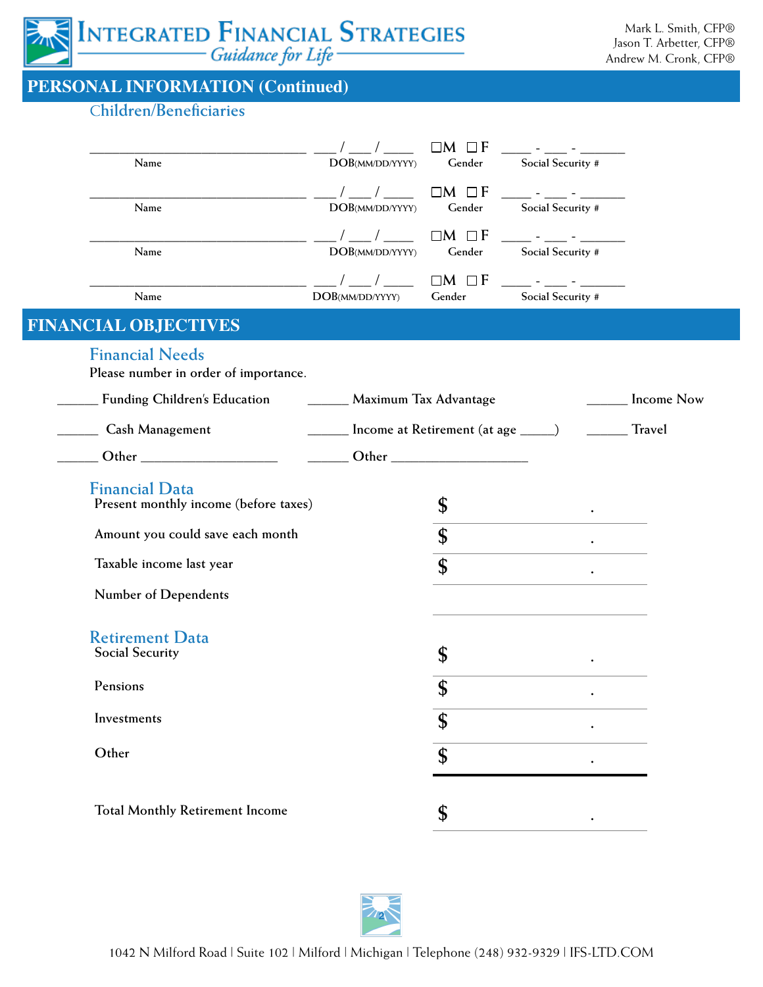

## **PERSONAL INFORMATION (Continued)**

#### C**hildren/Beneficiaries**

 $FIN$ 

|                                                                                                                                                                                                                               |                 | $\Box M$ $\Box F$                   |                   |                   |
|-------------------------------------------------------------------------------------------------------------------------------------------------------------------------------------------------------------------------------|-----------------|-------------------------------------|-------------------|-------------------|
| Name                                                                                                                                                                                                                          | DOB(MM/DD/YYYY) | Gender                              | Social Security # |                   |
|                                                                                                                                                                                                                               |                 | $\Box M$ $\Box F$                   |                   |                   |
| Name                                                                                                                                                                                                                          | DOB(MM/DD/YYYY) | Gender                              | Social Security # |                   |
|                                                                                                                                                                                                                               |                 | $\Box M$ $\Box F$                   |                   |                   |
| Name                                                                                                                                                                                                                          | DOB(MM/DD/YYYY) | Gender                              | Social Security # |                   |
|                                                                                                                                                                                                                               |                 | $\Box M$ $\Box F$                   |                   |                   |
| Name                                                                                                                                                                                                                          | DOB(MM/DD/YYYY) | Gender                              | Social Security # |                   |
| <b>ANCIAL OBJECTIVES</b>                                                                                                                                                                                                      |                 |                                     |                   |                   |
| <b>Financial Needs</b>                                                                                                                                                                                                        |                 |                                     |                   |                   |
| Please number in order of importance.                                                                                                                                                                                         |                 |                                     |                   |                   |
| <b>Funding Children's Education</b>                                                                                                                                                                                           |                 | Maximum Tax Advantage               |                   | <b>Income Now</b> |
| <b>Cash Management</b>                                                                                                                                                                                                        |                 | Income at Retirement (at age _____) |                   | <b>Travel</b>     |
| Other and the contract of the contract of the contract of the contract of the contract of the contract of the contract of the contract of the contract of the contract of the contract of the contract of the contract of the |                 |                                     |                   |                   |
|                                                                                                                                                                                                                               |                 |                                     |                   |                   |
| <b>Financial Data</b><br>Present monthly income (before taxes)                                                                                                                                                                |                 | \$                                  |                   |                   |
| Amount you could save each month                                                                                                                                                                                              |                 | \$                                  |                   |                   |
| Taxable income last year                                                                                                                                                                                                      |                 | \$                                  |                   |                   |
| Number of Dependents                                                                                                                                                                                                          |                 |                                     |                   |                   |
| <b>Retirement Data</b>                                                                                                                                                                                                        |                 |                                     |                   |                   |
| <b>Social Security</b>                                                                                                                                                                                                        |                 | \$                                  | $\bullet$         |                   |
| Pensions                                                                                                                                                                                                                      |                 | \$                                  |                   |                   |
| Investments                                                                                                                                                                                                                   |                 | \$                                  |                   |                   |
| Other                                                                                                                                                                                                                         |                 | \$                                  |                   |                   |
|                                                                                                                                                                                                                               |                 |                                     |                   |                   |
| <b>Total Monthly Retirement Income</b>                                                                                                                                                                                        |                 |                                     |                   |                   |
|                                                                                                                                                                                                                               |                 |                                     |                   |                   |

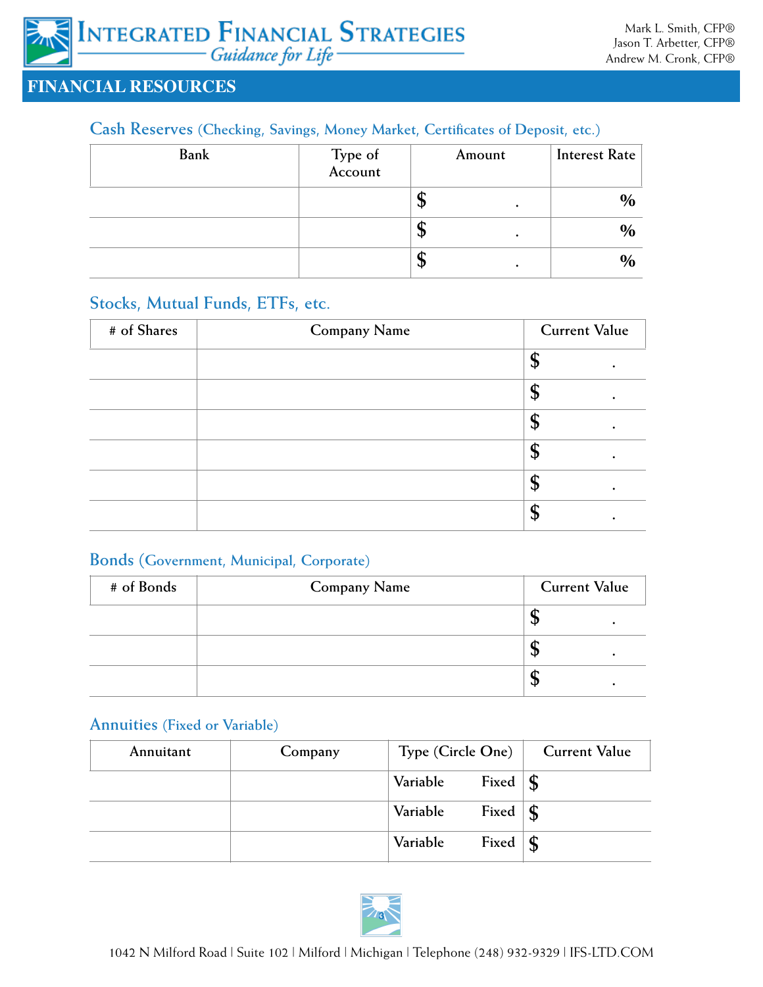#### **FINANCIAL RESOURCES**

#### **Cash Reserves (Checking, Savings, Money Market, Certificates of Deposit, etc.)**

| <b>Bank</b> | Type of<br>Account | Amount | <b>Interest Rate</b> |
|-------------|--------------------|--------|----------------------|
|             |                    | Φ<br>٠ | $\%$                 |
|             |                    | Φ      | $\%$                 |
|             |                    | J۳     | $\frac{0}{0}$        |

#### **Stocks, Mutual Funds, ETFs, etc.**

| # of Shares | <b>Company Name</b> | <b>Current Value</b> |
|-------------|---------------------|----------------------|
|             |                     |                      |
|             |                     |                      |
|             |                     | $\mathbf{p}$         |
|             |                     | $\mathbf{D}$         |
|             |                     | Φ                    |
|             |                     |                      |

#### **Bonds (Government, Municipal, Corporate)**

| # of Bonds | <b>Company Name</b> | <b>Current Value</b> |
|------------|---------------------|----------------------|
|            |                     |                      |
|            |                     |                      |
|            |                     |                      |

#### **Annuities (Fixed or Variable)**

| Annuitant | Company | Type (Circle One) |                           | <b>Current Value</b> |
|-----------|---------|-------------------|---------------------------|----------------------|
|           |         | Variable          | Fixed $\vert \mathbf{\$}$ |                      |
|           |         | Variable          | Fixed $\vert \mathbf{\$}$ |                      |
|           |         | Variable          | Fixed                     | $\vert$ s            |

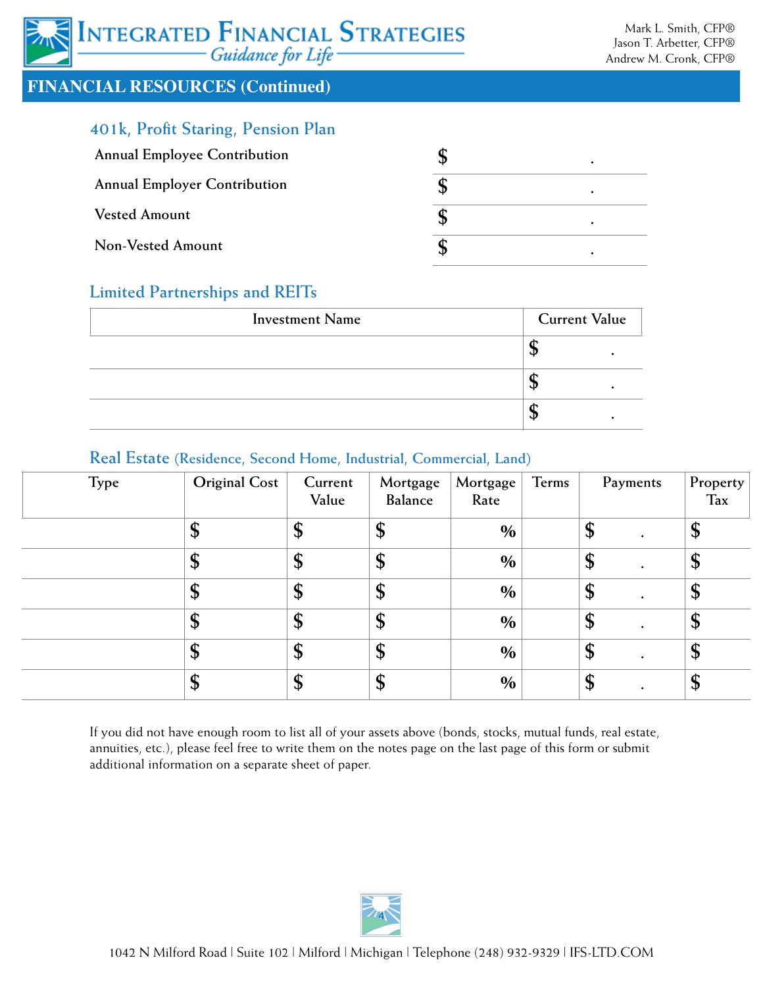## INTEGRATED FINANCIAL STRATEGIES Guidance for Life

#### **FINANCIAL RESOURCES (Continued)**

### **401k, Profit Staring, Pension Plan**

| <b>Annual Employee Contribution</b> |  |
|-------------------------------------|--|
| <b>Annual Employer Contribution</b> |  |
| <b>Vested Amount</b>                |  |
| Non-Vested Amount                   |  |

#### **Limited Partnerships and REITs**

| <b>Investment Name</b> | <b>Current Value</b> |  |
|------------------------|----------------------|--|
|                        |                      |  |
|                        |                      |  |
|                        |                      |  |

#### **Real Estate (Residence, Second Home, Industrial, Commercial, Land)**

| <b>Type</b> | <b>Original Cost</b> | Current<br>Value | Mortgage<br>Balance | Mortgage<br>Rate | Terms |                   | Payments  | Property<br>Tax |
|-------------|----------------------|------------------|---------------------|------------------|-------|-------------------|-----------|-----------------|
|             | \$                   | \$               | \$                  | $\frac{0}{0}$    |       | \$                |           | \$              |
|             | \$                   | \$               | \$                  | $\frac{0}{0}$    |       | \$                |           | \$              |
|             | \$                   | \$               | \$                  | $\%$             |       | $\boldsymbol{\$}$ |           | \$              |
|             | \$                   | \$               | \$                  | $\frac{0}{0}$    |       | \$                |           | \$              |
|             | \$                   | \$               | \$                  | $\%$             |       | \$                |           | \$              |
|             | \$                   | \$               | \$                  | $\frac{0}{0}$    |       | \$                | $\bullet$ | \$              |

If you did not have enough room to list all of your assets above (bonds, stocks, mutual funds, real estate, annuities, etc.), please feel free to write them on the notes page on the last page of this form or submit additional information on a separate sheet of paper.

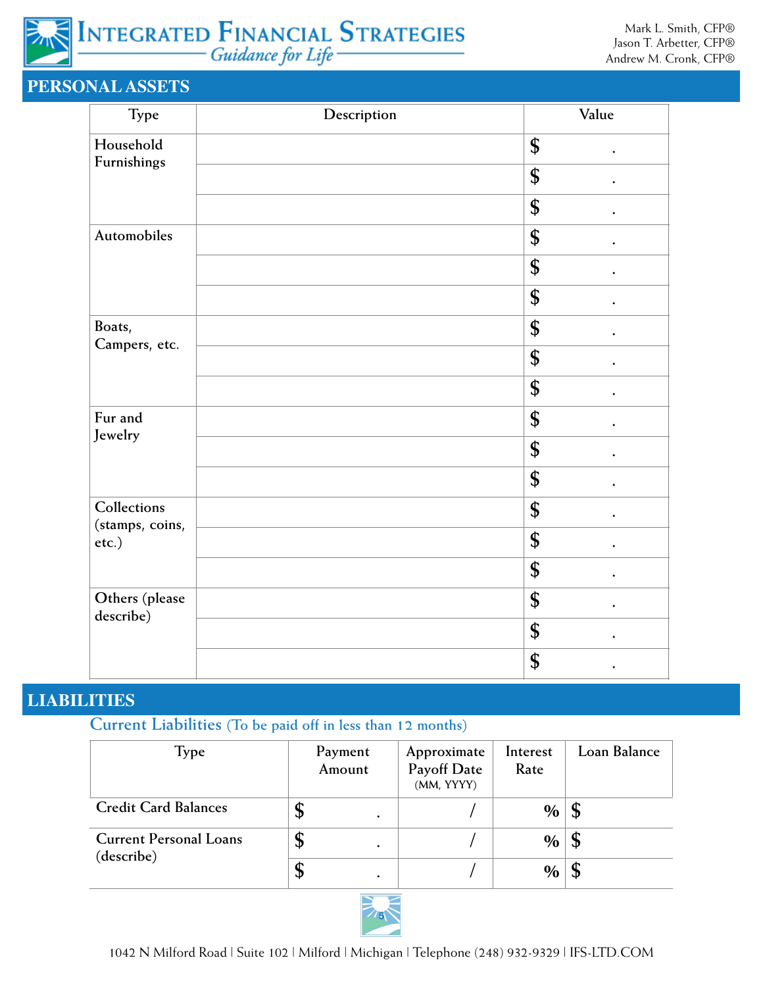

## **PERSONAL ASSETS**

| Type                           | Description | Value           |
|--------------------------------|-------------|-----------------|
| Household                      |             | \$<br>$\bullet$ |
| Furnishings                    |             | \$<br>$\bullet$ |
|                                |             | \$<br>$\bullet$ |
| Automobiles                    |             | \$<br>$\bullet$ |
|                                |             | \$              |
|                                |             | \$              |
| Boats,                         |             | \$              |
| Campers, etc.                  |             | \$              |
|                                |             | \$              |
| Fur and                        |             | \$              |
| Jewelry                        |             | \$              |
|                                |             | \$              |
| Collections<br>(stamps, coins, |             | \$<br>$\bullet$ |
| etc.)                          |             | \$<br>$\bullet$ |
|                                |             | \$<br>$\bullet$ |
| Others (please                 |             | \$              |
| describe)                      |             | \$              |
|                                |             | \$              |

#### **LIABILITIES**

**Current Liabilities (To be paid off in less than 12 months)**

| Type                                        |    | Payment<br>Amount | Approximate<br>Payoff Date<br>(MM, YYYY) | Interest<br>Rate | Loan Balance |
|---------------------------------------------|----|-------------------|------------------------------------------|------------------|--------------|
| <b>Credit Card Balances</b>                 | J  |                   |                                          | $\%$   \$        |              |
| <b>Current Personal Loans</b><br>(describe) | Φ  |                   |                                          | $\%$   \$        |              |
|                                             | \$ |                   |                                          | $\%$             |              |

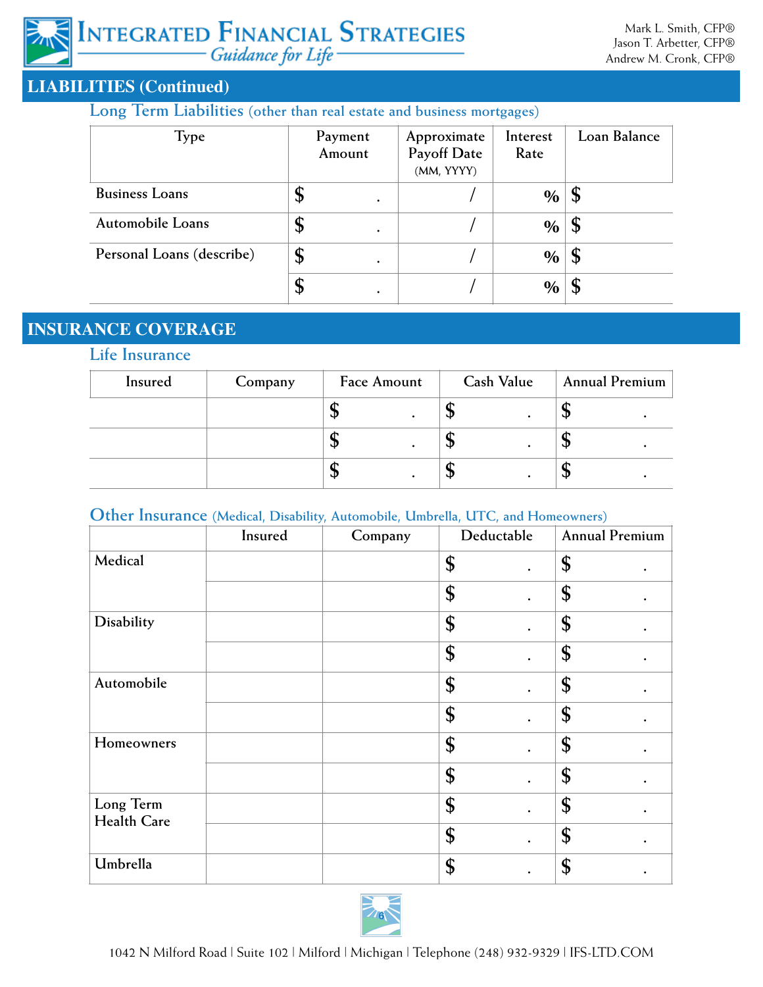#### **LIABILITIES (Continued)**

#### **Long Term Liabilities (other than real estate and business mortgages)**

| Type                      |                | Payment<br>Amount | Approximate<br><b>Payoff Date</b><br>(MM, YYYY) | Interest<br>Rate | Loan Balance   |
|---------------------------|----------------|-------------------|-------------------------------------------------|------------------|----------------|
| <b>Business Loans</b>     | Ф              | ٠                 |                                                 | $\%$             | $\mathfrak{g}$ |
| Automobile Loans          | Φ              |                   |                                                 | $\%$             | $\mathfrak{p}$ |
| Personal Loans (describe) | P              | $\bullet$         |                                                 | $\%$             | ' \$           |
|                           | $\mathfrak{p}$ |                   |                                                 | $\%$             |                |

## **INSURANCE COVERAGE**

#### **Life Insurance**

| Insured | Company | Face Amount | Cash Value | <b>Annual Premium</b> |
|---------|---------|-------------|------------|-----------------------|
|         |         | ◡           | Ψ          | ٠IJ                   |
|         |         | Jυ          | Ψ          | кIJ                   |
|         |         | ۰D          |            |                       |

## **Other Insurance (Medical, Disability, Automobile, Umbrella, UTC, and Homeowners)**

|                          | Insured | Company | Deductable      | <b>Annual Premium</b> |
|--------------------------|---------|---------|-----------------|-----------------------|
| Medical                  |         |         | \$<br>$\bullet$ | \$                    |
|                          |         |         | \$<br>$\bullet$ | \$<br>٠               |
| Disability               |         |         | \$              | \$                    |
|                          |         |         | \$              | \$                    |
| Automobile               |         |         | \$<br>$\bullet$ | \$                    |
|                          |         |         | \$<br>$\bullet$ | \$                    |
| Homeowners               |         |         | \$              | \$                    |
|                          |         |         | \$              | \$                    |
| Long Term<br>Health Care |         |         | \$<br>$\bullet$ | \$<br>$\bullet$       |
|                          |         |         | \$<br>$\bullet$ | \$<br>$\bullet$       |
| Umbrella                 |         |         | \$              | \$                    |